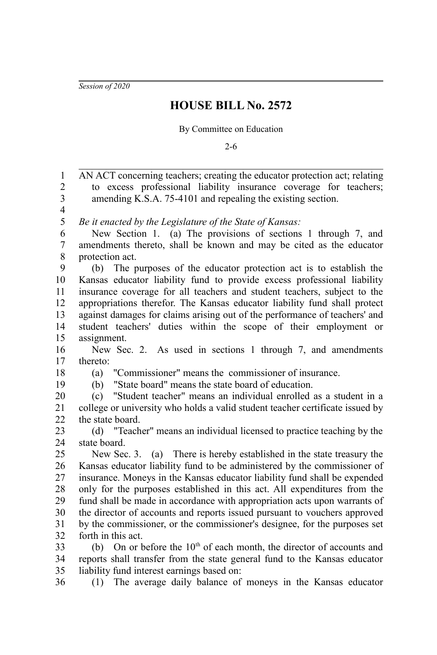*Session of 2020*

## **HOUSE BILL No. 2572**

## By Committee on Education

2-6

AN ACT concerning teachers; creating the educator protection act; relating to excess professional liability insurance coverage for teachers; amending K.S.A. 75-4101 and repealing the existing section. *Be it enacted by the Legislature of the State of Kansas:* New Section 1. (a) The provisions of sections 1 through 7, and amendments thereto, shall be known and may be cited as the educator protection act. (b) The purposes of the educator protection act is to establish the Kansas educator liability fund to provide excess professional liability insurance coverage for all teachers and student teachers, subject to the appropriations therefor. The Kansas educator liability fund shall protect against damages for claims arising out of the performance of teachers' and student teachers' duties within the scope of their employment or assignment. New Sec. 2. As used in sections 1 through 7, and amendments thereto: (a) "Commissioner" means the commissioner of insurance. (b) "State board" means the state board of education. (c) "Student teacher" means an individual enrolled as a student in a college or university who holds a valid student teacher certificate issued by the state board. (d) "Teacher" means an individual licensed to practice teaching by the state board. New Sec. 3. (a) There is hereby established in the state treasury the Kansas educator liability fund to be administered by the commissioner of insurance. Moneys in the Kansas educator liability fund shall be expended only for the purposes established in this act. All expenditures from the fund shall be made in accordance with appropriation acts upon warrants of the director of accounts and reports issued pursuant to vouchers approved by the commissioner, or the commissioner's designee, for the purposes set forth in this act. (b) On or before the  $10<sup>th</sup>$  of each month, the director of accounts and reports shall transfer from the state general fund to the Kansas educator liability fund interest earnings based on: (1) The average daily balance of moneys in the Kansas educator 1 2 3 4 5 6 7 8 9 10 11 12 13 14 15 16 17 18 19 20 21 22  $23$  $24$ 25 26 27 28 29 30 31 32 33 34 35 36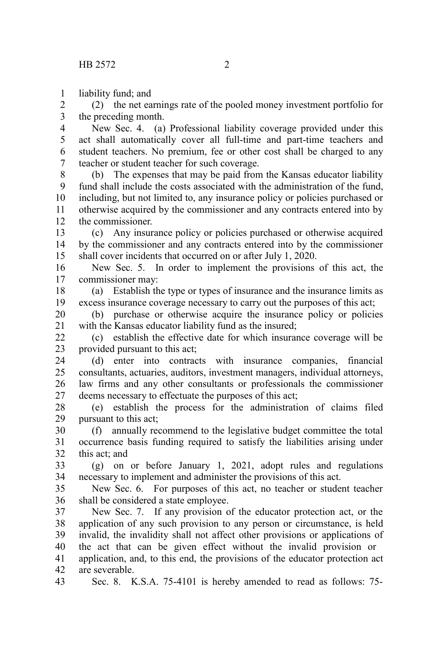liability fund; and 1

(2) the net earnings rate of the pooled money investment portfolio for the preceding month. 2 3

New Sec. 4. (a) Professional liability coverage provided under this act shall automatically cover all full-time and part-time teachers and student teachers. No premium, fee or other cost shall be charged to any teacher or student teacher for such coverage. 4 5 6 7

(b) The expenses that may be paid from the Kansas educator liability fund shall include the costs associated with the administration of the fund, including, but not limited to, any insurance policy or policies purchased or otherwise acquired by the commissioner and any contracts entered into by the commissioner. 8 9 10 11 12

(c) Any insurance policy or policies purchased or otherwise acquired by the commissioner and any contracts entered into by the commissioner shall cover incidents that occurred on or after July 1, 2020. 13 14 15

New Sec. 5. In order to implement the provisions of this act, the commissioner may: 16 17

(a) Establish the type or types of insurance and the insurance limits as excess insurance coverage necessary to carry out the purposes of this act; 18 19

(b) purchase or otherwise acquire the insurance policy or policies with the Kansas educator liability fund as the insured; 20 21

(c) establish the effective date for which insurance coverage will be provided pursuant to this act;  $22$ 23

(d) enter into contracts with insurance companies, financial consultants, actuaries, auditors, investment managers, individual attorneys, law firms and any other consultants or professionals the commissioner deems necessary to effectuate the purposes of this act; 24 25 26 27

(e) establish the process for the administration of claims filed pursuant to this act; 28 29

(f) annually recommend to the legislative budget committee the total occurrence basis funding required to satisfy the liabilities arising under this act; and 30 31 32

(g) on or before January 1, 2021, adopt rules and regulations necessary to implement and administer the provisions of this act. 33 34

New Sec. 6. For purposes of this act, no teacher or student teacher shall be considered a state employee. 35 36

New Sec. 7. If any provision of the educator protection act, or the application of any such provision to any person or circumstance, is held invalid, the invalidity shall not affect other provisions or applications of the act that can be given effect without the invalid provision or 37 38 39 40

application, and, to this end, the provisions of the educator protection act are severable. 41 42

Sec. 8. K.S.A. 75-4101 is hereby amended to read as follows: 75- 43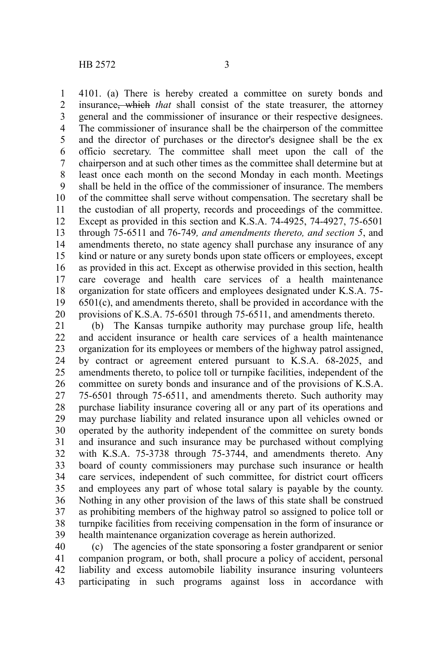4101. (a) There is hereby created a committee on surety bonds and insurance, which *that* shall consist of the state treasurer, the attorney general and the commissioner of insurance or their respective designees. The commissioner of insurance shall be the chairperson of the committee and the director of purchases or the director's designee shall be the ex officio secretary. The committee shall meet upon the call of the chairperson and at such other times as the committee shall determine but at least once each month on the second Monday in each month. Meetings shall be held in the office of the commissioner of insurance. The members of the committee shall serve without compensation. The secretary shall be the custodian of all property, records and proceedings of the committee. Except as provided in this section and K.S.A. 74-4925, 74-4927, 75-6501 through 75-6511 and 76-749*, and amendments thereto, and section 5*, and amendments thereto, no state agency shall purchase any insurance of any kind or nature or any surety bonds upon state officers or employees, except as provided in this act. Except as otherwise provided in this section, health care coverage and health care services of a health maintenance organization for state officers and employees designated under K.S.A. 75- 6501(c), and amendments thereto, shall be provided in accordance with the provisions of K.S.A. 75-6501 through 75-6511, and amendments thereto. 1 2 3 4 5 6 7 8 9 10 11 12 13 14 15 16 17 18 19 20

(b) The Kansas turnpike authority may purchase group life, health and accident insurance or health care services of a health maintenance organization for its employees or members of the highway patrol assigned, by contract or agreement entered pursuant to K.S.A. 68-2025, and amendments thereto, to police toll or turnpike facilities, independent of the committee on surety bonds and insurance and of the provisions of K.S.A. 75-6501 through 75-6511, and amendments thereto. Such authority may purchase liability insurance covering all or any part of its operations and may purchase liability and related insurance upon all vehicles owned or operated by the authority independent of the committee on surety bonds and insurance and such insurance may be purchased without complying with K.S.A. 75-3738 through 75-3744, and amendments thereto. Any board of county commissioners may purchase such insurance or health care services, independent of such committee, for district court officers and employees any part of whose total salary is payable by the county. Nothing in any other provision of the laws of this state shall be construed as prohibiting members of the highway patrol so assigned to police toll or turnpike facilities from receiving compensation in the form of insurance or health maintenance organization coverage as herein authorized. 21 22 23 24 25 26 27 28 29 30 31 32 33 34 35 36 37 38 39

(c) The agencies of the state sponsoring a foster grandparent or senior companion program, or both, shall procure a policy of accident, personal liability and excess automobile liability insurance insuring volunteers participating in such programs against loss in accordance with 40 41 42 43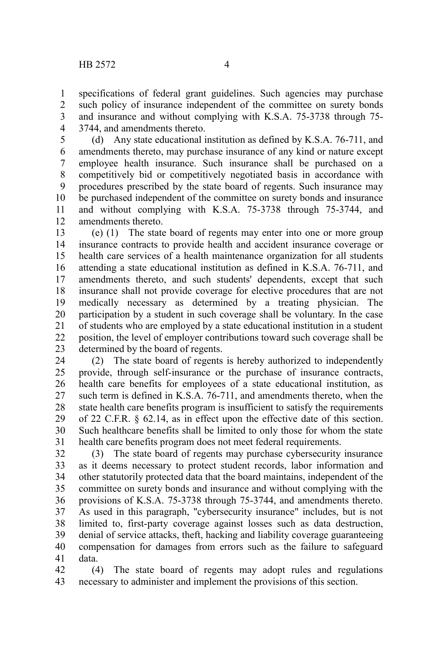specifications of federal grant guidelines. Such agencies may purchase such policy of insurance independent of the committee on surety bonds and insurance and without complying with K.S.A. 75-3738 through 75- 3744, and amendments thereto. 1 2 3 4

(d) Any state educational institution as defined by K.S.A. 76-711, and amendments thereto, may purchase insurance of any kind or nature except employee health insurance. Such insurance shall be purchased on a competitively bid or competitively negotiated basis in accordance with procedures prescribed by the state board of regents. Such insurance may be purchased independent of the committee on surety bonds and insurance and without complying with K.S.A. 75-3738 through 75-3744, and amendments thereto. 5 6 7 8 9 10 11 12

(e) (1) The state board of regents may enter into one or more group insurance contracts to provide health and accident insurance coverage or health care services of a health maintenance organization for all students attending a state educational institution as defined in K.S.A. 76-711, and amendments thereto, and such students' dependents, except that such insurance shall not provide coverage for elective procedures that are not medically necessary as determined by a treating physician. The participation by a student in such coverage shall be voluntary. In the case of students who are employed by a state educational institution in a student position, the level of employer contributions toward such coverage shall be determined by the board of regents. 13 14 15 16 17 18 19 20 21 22 23

(2) The state board of regents is hereby authorized to independently provide, through self-insurance or the purchase of insurance contracts, health care benefits for employees of a state educational institution, as such term is defined in K.S.A. 76-711, and amendments thereto, when the state health care benefits program is insufficient to satisfy the requirements of 22 C.F.R. § 62.14, as in effect upon the effective date of this section. Such healthcare benefits shall be limited to only those for whom the state health care benefits program does not meet federal requirements. 24 25 26 27 28 29 30 31

(3) The state board of regents may purchase cybersecurity insurance as it deems necessary to protect student records, labor information and other statutorily protected data that the board maintains, independent of the committee on surety bonds and insurance and without complying with the provisions of K.S.A. 75-3738 through 75-3744, and amendments thereto. As used in this paragraph, "cybersecurity insurance" includes, but is not limited to, first-party coverage against losses such as data destruction, denial of service attacks, theft, hacking and liability coverage guaranteeing compensation for damages from errors such as the failure to safeguard data. 32 33 34 35 36 37 38 39 40 41

(4) The state board of regents may adopt rules and regulations necessary to administer and implement the provisions of this section. 42 43